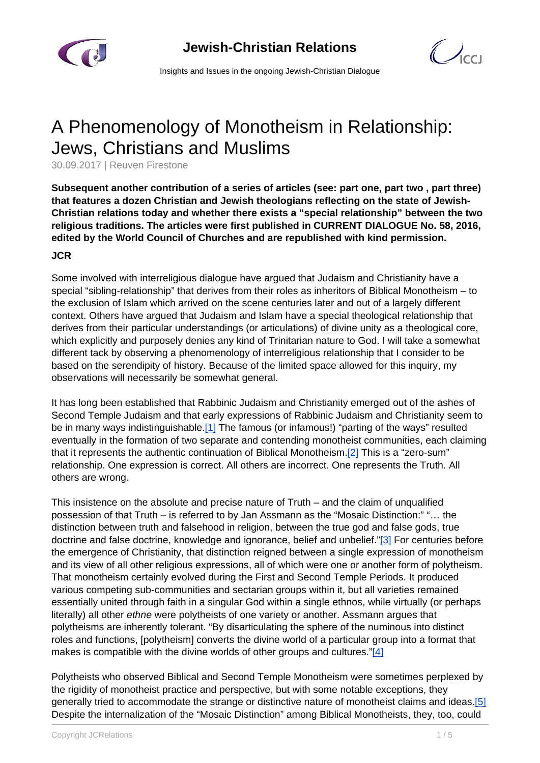

 $\bigcup_{C}$ 

Insights and Issues in the ongoing Jewish-Christian Dialogue

## A Phenomenology of Monotheism in Relationship: Jews, Christians and Muslims

30.09.2017 | Reuven Firestone

**Subsequent another contribution of a series of articles (see: part one, part two , part three) that features a dozen Christian and Jewish theologians reflecting on the state of Jewish-Christian relations today and whether there exists a "special relationship" between the two religious traditions. The articles were first published in CURRENT DIALOGUE No. 58, 2016, edited by the World Council of Churches and are republished with kind permission.**

## **JCR**

Some involved with interreligious dialogue have argued that Judaism and Christianity have a special "sibling-relationship" that derives from their roles as inheritors of Biblical Monotheism – to the exclusion of Islam which arrived on the scene centuries later and out of a largely different context. Others have argued that Judaism and Islam have a special theological relationship that derives from their particular understandings (or articulations) of divine unity as a theological core, which explicitly and purposely denies any kind of Trinitarian nature to God. I will take a somewhat different tack by observing a phenomenology of interreligious relationship that I consider to be based on the serendipity of history. Because of the limited space allowed for this inquiry, my observations will necessarily be somewhat general.

It has long been established that Rabbinic Judaism and Christianity emerged out of the ashes of Second Temple Judaism and that early expressions of Rabbinic Judaism and Christianity seem to be in many ways indistinguishable.[1] The famous (or infamous!) "parting of the ways" resulted eventually in the formation of two separate and contending monotheist communities, each claiming that it represents the authentic continuation of Biblical Monotheism.[2] This is a "zero-sum" relationship. One expression is correct. All others are incorrect. One represents the Truth. All others are wrong.

This insistence on the absolute and precise nature of Truth – and the claim of unqualified possession of that Truth – is referred to by Jan Assmann as the "Mosaic Distinction:" "… the distinction between truth and falsehood in religion, between the true god and false gods, true doctrine and false doctrine, knowledge and ignorance, belief and unbelief."[3] For centuries before the emergence of Christianity, that distinction reigned between a single expression of monotheism and its view of all other religious expressions, all of which were one or another form of polytheism. That monotheism certainly evolved during the First and Second Temple Periods. It produced various competing sub-communities and sectarian groups within it, but all varieties remained essentially united through faith in a singular God within a single ethnos, while virtually (or perhaps literally) all other ethne were polytheists of one variety or another. Assmann argues that polytheisms are inherently tolerant. "By disarticulating the sphere of the numinous into distinct roles and functions, [polytheism] converts the divine world of a particular group into a format that makes is compatible with the divine worlds of other groups and cultures."[4]

Polytheists who observed Biblical and Second Temple Monotheism were sometimes perplexed by the rigidity of monotheist practice and perspective, but with some notable exceptions, they generally tried to accommodate the strange or distinctive nature of monotheist claims and ideas.[5] Despite the internalization of the "Mosaic Distinction" among Biblical Monotheists, they, too, could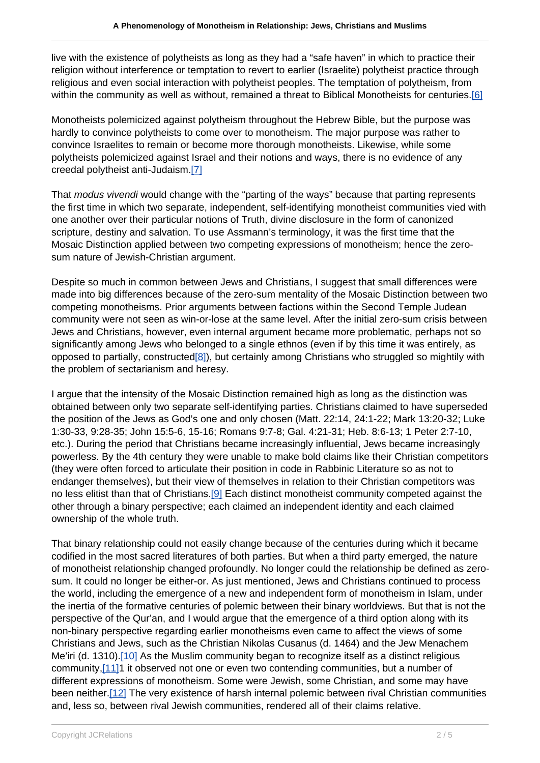live with the existence of polytheists as long as they had a "safe haven" in which to practice their religion without interference or temptation to revert to earlier (Israelite) polytheist practice through religious and even social interaction with polytheist peoples. The temptation of polytheism, from within the community as well as without, remained a threat to Biblical Monotheists for centuries.<sup>[6]</sup>

Monotheists polemicized against polytheism throughout the Hebrew Bible, but the purpose was hardly to convince polytheists to come over to monotheism. The major purpose was rather to convince Israelites to remain or become more thorough monotheists. Likewise, while some polytheists polemicized against Israel and their notions and ways, there is no evidence of any creedal polytheist anti-Judaism.[7]

That modus vivendi would change with the "parting of the ways" because that parting represents the first time in which two separate, independent, self-identifying monotheist communities vied with one another over their particular notions of Truth, divine disclosure in the form of canonized scripture, destiny and salvation. To use Assmann's terminology, it was the first time that the Mosaic Distinction applied between two competing expressions of monotheism; hence the zerosum nature of Jewish-Christian argument.

Despite so much in common between Jews and Christians, I suggest that small differences were made into big differences because of the zero-sum mentality of the Mosaic Distinction between two competing monotheisms. Prior arguments between factions within the Second Temple Judean community were not seen as win-or-lose at the same level. After the initial zero-sum crisis between Jews and Christians, however, even internal argument became more problematic, perhaps not so significantly among Jews who belonged to a single ethnos (even if by this time it was entirely, as opposed to partially, constructed<sup>[8]</sup>), but certainly among Christians who struggled so mightily with the problem of sectarianism and heresy.

I argue that the intensity of the Mosaic Distinction remained high as long as the distinction was obtained between only two separate self-identifying parties. Christians claimed to have superseded the position of the Jews as God's one and only chosen (Matt. 22:14, 24:1-22; Mark 13:20-32; Luke 1:30-33, 9:28-35; John 15:5-6, 15-16; Romans 9:7-8; Gal. 4:21-31; Heb. 8:6-13; 1 Peter 2:7-10, etc.). During the period that Christians became increasingly influential, Jews became increasingly powerless. By the 4th century they were unable to make bold claims like their Christian competitors (they were often forced to articulate their position in code in Rabbinic Literature so as not to endanger themselves), but their view of themselves in relation to their Christian competitors was no less elitist than that of Christians.[9] Each distinct monotheist community competed against the other through a binary perspective; each claimed an independent identity and each claimed ownership of the whole truth.

That binary relationship could not easily change because of the centuries during which it became codified in the most sacred literatures of both parties. But when a third party emerged, the nature of monotheist relationship changed profoundly. No longer could the relationship be defined as zerosum. It could no longer be either-or. As just mentioned, Jews and Christians continued to process the world, including the emergence of a new and independent form of monotheism in Islam, under the inertia of the formative centuries of polemic between their binary worldviews. But that is not the perspective of the Qur'an, and I would argue that the emergence of a third option along with its non-binary perspective regarding earlier monotheisms even came to affect the views of some Christians and Jews, such as the Christian Nikolas Cusanus (d. 1464) and the Jew Menachem Me'iri (d. 1310).[10] As the Muslim community began to recognize itself as a distinct religious community,[11]1 it observed not one or even two contending communities, but a number of different expressions of monotheism. Some were Jewish, some Christian, and some may have been neither.<sup>[12]</sup> The very existence of harsh internal polemic between rival Christian communities and, less so, between rival Jewish communities, rendered all of their claims relative.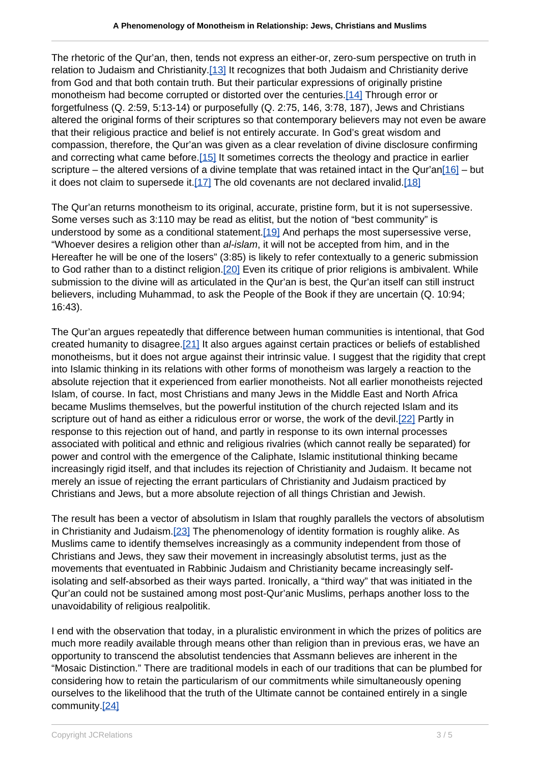The rhetoric of the Qur'an, then, tends not express an either-or, zero-sum perspective on truth in relation to Judaism and Christianity.[13] It recognizes that both Judaism and Christianity derive from God and that both contain truth. But their particular expressions of originally pristine monotheism had become corrupted or distorted over the centuries.[14] Through error or forgetfulness (Q. 2:59, 5:13-14) or purposefully (Q. 2:75, 146, 3:78, 187), Jews and Christians altered the original forms of their scriptures so that contemporary believers may not even be aware that their religious practice and belief is not entirely accurate. In God's great wisdom and compassion, therefore, the Qur'an was given as a clear revelation of divine disclosure confirming and correcting what came before.[15] It sometimes corrects the theology and practice in earlier scripture – the altered versions of a divine template that was retained intact in the Qur'an[16] – but it does not claim to supersede it. $[17]$  The old covenants are not declared invalid. $[18]$ 

The Qur'an returns monotheism to its original, accurate, pristine form, but it is not supersessive. Some verses such as 3:110 may be read as elitist, but the notion of "best community" is understood by some as a conditional statement.<sup>[19]</sup> And perhaps the most supersessive verse, "Whoever desires a religion other than al-islam, it will not be accepted from him, and in the Hereafter he will be one of the losers" (3:85) is likely to refer contextually to a generic submission to God rather than to a distinct religion.[20] Even its critique of prior religions is ambivalent. While submission to the divine will as articulated in the Qur'an is best, the Qur'an itself can still instruct believers, including Muhammad, to ask the People of the Book if they are uncertain (Q. 10:94; 16:43).

The Qur'an argues repeatedly that difference between human communities is intentional, that God created humanity to disagree.[21] It also argues against certain practices or beliefs of established monotheisms, but it does not argue against their intrinsic value. I suggest that the rigidity that crept into Islamic thinking in its relations with other forms of monotheism was largely a reaction to the absolute rejection that it experienced from earlier monotheists. Not all earlier monotheists rejected Islam, of course. In fact, most Christians and many Jews in the Middle East and North Africa became Muslims themselves, but the powerful institution of the church rejected Islam and its scripture out of hand as either a ridiculous error or worse, the work of the devil.[22] Partly in response to this rejection out of hand, and partly in response to its own internal processes associated with political and ethnic and religious rivalries (which cannot really be separated) for power and control with the emergence of the Caliphate, Islamic institutional thinking became increasingly rigid itself, and that includes its rejection of Christianity and Judaism. It became not merely an issue of rejecting the errant particulars of Christianity and Judaism practiced by Christians and Jews, but a more absolute rejection of all things Christian and Jewish.

The result has been a vector of absolutism in Islam that roughly parallels the vectors of absolutism in Christianity and Judaism.<sup>[23]</sup> The phenomenology of identity formation is roughly alike. As Muslims came to identify themselves increasingly as a community independent from those of Christians and Jews, they saw their movement in increasingly absolutist terms, just as the movements that eventuated in Rabbinic Judaism and Christianity became increasingly selfisolating and self-absorbed as their ways parted. Ironically, a "third way" that was initiated in the Qur'an could not be sustained among most post-Qur'anic Muslims, perhaps another loss to the unavoidability of religious realpolitik.

I end with the observation that today, in a pluralistic environment in which the prizes of politics are much more readily available through means other than religion than in previous eras, we have an opportunity to transcend the absolutist tendencies that Assmann believes are inherent in the "Mosaic Distinction." There are traditional models in each of our traditions that can be plumbed for considering how to retain the particularism of our commitments while simultaneously opening ourselves to the likelihood that the truth of the Ultimate cannot be contained entirely in a single community.[24]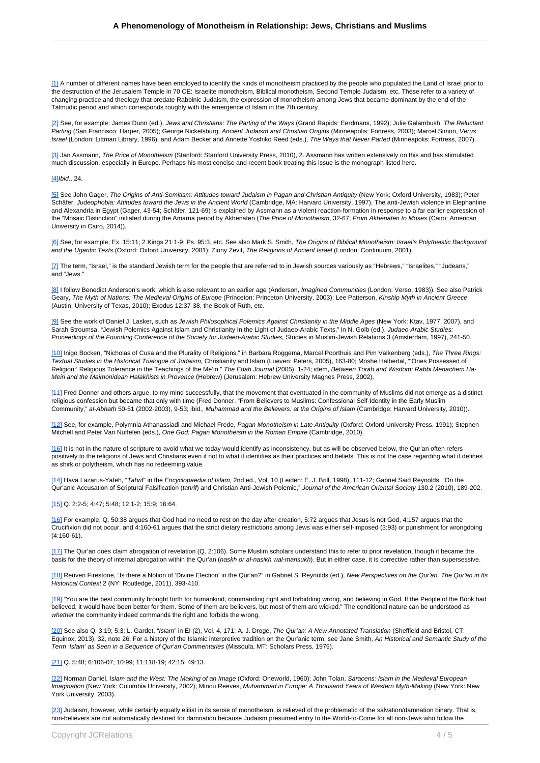[1] A number of different names have been employed to identify the kinds of monotheism practiced by the people who populated the Land of Israel prior to the destruction of the Jerusalem Temple in 70 CE: Israelite monotheism, Biblical monotheism, Second Temple Judaism, etc. These refer to a variety of changing practice and theology that predate Rabbinic Judaism, the expression of monotheism among Jews that became dominant by the end of the Talmudic period and which corresponds roughly with the emergence of Islam in the 7th century.

[2] See, for example: James Dunn (ed.), Jews and Christians: The Parting of the Ways (Grand Rapids: Eerdmans, 1992); Julie Galambush, The Reluctant Parting (San Francisco: Harper, 2005); George Nickelsburg, Ancient Judaism and Christian Origins (Minneapolis: Fortress, 2003); Marcel Simon, Verus Israel (London: Littman Library, 1996); and Adam Becker and Annette Yoshiko Reed (eds.), The Ways that Never Parted (Minneapolis: Fortress, 2007).

[3] Jan Assmann, The Price of Monotheism (Stanford: Stanford University Press, 2010), 2. Assmann has written extensively on this and has stimulated much discussion, especially in Europe. Perhaps his most concise and recent book treating this issue is the monograph listed here.

## [4]Ibid., 24.

[5] See John Gager, The Origins of Anti-Semitism: Attitudes toward Judaism in Pagan and Christian Antiquity (New York: Oxford University, 1983); Peter Schäfer, Judeophobia: Attitudes toward the Jews in the Ancient World (Cambridge, MA: Harvard University, 1997). The anti-Jewish violence in Elephantine and Alexandria in Egypt (Gager, 43-54; Schäfer, 121-69) is explained by Assmann as a violent reaction-formation in response to a far earlier expression of the "Mosaic Distinction" initiated during the Amarna period by Akhenaten (The Price of Monotheism, 32-67; From Akhenaten to Moses (Cairo: American University in Cairo, 2014)).

[6] See, for example, Ex. 15:11; 2 Kings 21:1-9; Ps. 95:3, etc. See also Mark S. Smith, The Origins of Biblical Monotheism: Israel's Polytheistic Background and the Ugaritic Texts (Oxford: Oxford University, 2001); Ziony Zevit, The Religions of Ancient Israel (London: Continuum, 2001).

[7] The term, "Israel," is the standard Jewish term for the people that are referred to in Jewish sources variously as "Hebrews," "Israelites," "Judeans," and "Jews."

[8] I follow Benedict Anderson's work, which is also relevant to an earlier age (Anderson, Imagined Communities (London: Verso, 1983)). See also Patrick Geary, The Myth of Nations: The Medieval Origins of Europe (Princeton: Princeton University, 2003); Lee Patterson, Kinship Myth in Ancient Greece (Austin: University of Texas, 2010); Exodus 12:37-38, the Book of Ruth, etc.

[9] See the work of Daniel J. Lasker, such as Jewish Philosophical Polemics Against Christianity in the Middle Ages (New York: Ktav, 1977, 2007), and Sarah Stroumsa, "Jewish Polemics Against Islam and Christianity In the Light of Judaeo-Arabic Texts," in N. Golb (ed.), Judaeo-Arabic Studies. Proceedings of the Founding Conference of the Society for Judaeo-Arabic Studies, Studies in Muslim-Jewish Relations 3 (Amsterdam, 1997), 241-50.

[10] Inigo Bocken, "Nicholas of Cusa and the Plurality of Religions." in Barbara Roggema, Marcel Poorthuis and Pim Valkenberg (eds.), The Three Rings: Textual Studies in the Historical Trialogue of Judaism, Christianity and Islam (Lueven: Peters, 2005), 163-80; Moshe Halbertal, "'Ones Possessed of Religion:' Religious Tolerance in the Teachings of the Me'iri." The Edah Journal (2005), 1-24; idem, Between Torah and Wisdom: Rabbi Menachem Ha-Meiri and the Maimonidean Halakhists in Provence (Hebrew) (Jerusalem: Hebrew University Magnes Press, 2002).

[11] Fred Donner and others argue, to my mind successfully, that the movement that eventuated in the community of Muslims did not emerge as a distinct religious confession but became that only with time (Fred Donner, "From Believers to Muslims: Confessional Self-Identity in the Early Muslim Community," al-Abhath 50-51 (2002-2003), 9-53; ibid., Muhammad and the Believers: at the Origins of Islam (Cambridge: Harvard University, 2010)).

[12] See, for example, Polymnia Athanassiadi and Michael Frede, Pagan Monotheism in Late Antiquity (Oxford: Oxford University Press, 1991); Stephen Mitchell and Peter Van Nuffelen (eds.), One God: Pagan Monotheism in the Roman Empire (Cambridge, 2010).

[16] It is not in the nature of scripture to avoid what we today would identify as inconsistency, but as will be observed below, the Qur'an often refers positively to the religions of Jews and Christians even if not to what it identifies as their practices and beliefs. This is not the case regarding what it defines as shirk or polytheism, which has no redeeming value.

[14] Hava Lazarus-Yafeh, "Tahrif' in the Encyclopaedia of Islam, 2nd ed., Vol. 10 (Leiden: E. J. Brill, 1998), 111-12; Gabriel Said Reynolds, "On the Qur'anic Accusation of Scriptural Falsification (tahrif) and Christian Anti-Jewish Polemic," Journal of the American Oriental Society 130.2 (2010), 189-202.

[15] Q. 2:2-5; 4:47; 5:48; 12:1-2; 15:9; 16:64.

[16] For example, Q. 50:38 argues that God had no need to rest on the day after creation, 5:72 argues that Jesus is not God, 4:157 argues that the Crucifixion did not occur, and 4:160-61 argues that the strict dietary restrictions among Jews was either self-imposed (3:93) or punishment for wrongdoing (4:160-61).

[17] The Qur'an does claim abrogation of revelation (Q. 2:106). Some Muslim scholars understand this to refer to prior revelation, though it became the basis for the theory of internal abrogation within the Qur'an (naskh or al-nasikh wal-mansukh). But in either case, it is corrective rather than supersessive.

[18] Reuven Firestone, "Is there a Notion of 'Divine Election' in the Qur'an?" in Gabriel S. Reynolds (ed.), New Perspectives on the Qur'an. The Qur'an in Its Historical Context 2 (NY: Routledge, 2011), 393-410.

[19] "You are the best community brought forth for humankind, commanding right and forbidding wrong, and believing in God. If the People of the Book had believed, it would have been better for them. Some of them are believers, but most of them are wicked." The conditional nature can be understood as whether the community indeed commands the right and forbids the wrong.

[20] See also Q. 3:19; 5:3; L. Gardet, "Islam" in EI (2), Vol. 4, 171; A. J. Droge, The Qur'an: A New Annotated Translation (Sheffield and Bristol, CT: Equinox, 2013), 32, note 26. For a history of the Islamic interpretive tradition on the Qur'anic term, see Jane Smith, An Historical and Semantic Study of the Term 'Islam' as Seen in a Sequence of Qur'an Commentaries (Missoula, MT: Scholars Press, 1975).

## [21] Q. 5:48; 6:106-07; 10:99; 11:118-19; 42:15; 49:13.

[22] Norman Daniel, Islam and the West: The Making of an Image (Oxford: Oneworld, 1960); John Tolan, Saracens: Islam in the Medieval European Imagination (New York: Columbia University, 2002); Minou Reeves, Muhammad in Europe: A Thousand Years of Western Myth-Making (New York: New York University, 2003).

[23] Judaism, however, while certainly equally elitist in its sense of monotheism, is relieved of the problematic of the salvation/damnation binary. That is, non-believers are not automatically destined for damnation because Judaism presumed entry to the World-to-Come for all non-Jews who follow the